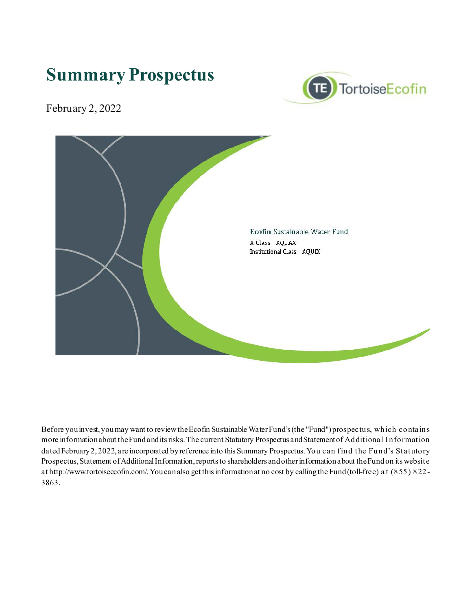# **Summary Prospectus**



February 2, 2022



Before you invest, you may want to review the Ecofin Sustainable WaterFund's (the "Fund") prospectus, which contains more information about the Fund and its risks. The current Statutory Prospectus and Statement of Additional I nformation dated February 2, 2022, are incorporated by reference into this Summary Prospectus. You can find the Fund's Statutory Prospectus, Statement of Additional Information, reports to shareholders and other information about the Fund on its website at http://www.tortoiseecofin.com/. You can also get this information at no cost by calling the Fund (toll-free) a t (855) 822- 3863.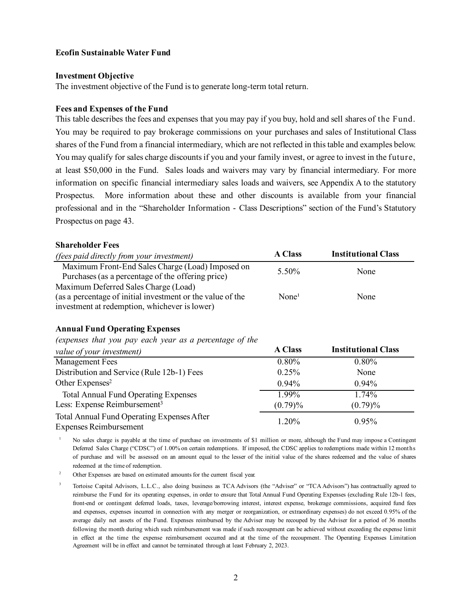### **Ecofin Sustainable Water Fund**

#### **Investment Objective**

The investment objective of the Fund is to generate long-term total return.

#### **Fees and Expenses of the Fund**

This table describes the fees and expenses that you may pay if you buy, hold and sell shares of the Fund. You may be required to pay brokerage commissions on your purchases and sales of Institutional Class shares of the Fund from a financial intermediary, which are not reflected in this table and examples below. You may qualify for sales charge discounts if you and your family invest, or agree to invest in the future, at least \$50,000 in the Fund. Sales loads and waivers may vary by financial intermediary. For more information on specific financial intermediary sales loads and waivers, see Appendix A to the statutory Prospectus. More information about these and other discounts is available from your financial professional and in the "Shareholder Information - Class Descriptions" section of the Fund's Statutory Prospectus on page 43.

#### **Shareholder Fees**

| <i>(fees paid directly from your investment)</i>                                                      | <b>A Class</b>    | <b>Institutional Class</b> |
|-------------------------------------------------------------------------------------------------------|-------------------|----------------------------|
| Maximum Front-End Sales Charge (Load) Imposed on<br>Purchases (as a percentage of the offering price) | 5.50%             | None                       |
| Maximum Deferred Sales Charge (Load)                                                                  |                   |                            |
| (as a percentage of initial investment or the value of the                                            | None <sup>1</sup> | None                       |
| investment at redemption, whichever is lower)                                                         |                   |                            |

## **Annual Fund Operating Expenses**

## *(expenses that you pay each year as a percentage of the*

| $\mathbf{r}$ , and the set of the state of the state of the state $\mathbf{r}$ , and the state of the state of the state of the state of the state of the state of the state of the state of the state of the state of the state of t |                |                            |
|---------------------------------------------------------------------------------------------------------------------------------------------------------------------------------------------------------------------------------------|----------------|----------------------------|
| value of your investment)                                                                                                                                                                                                             | <b>A Class</b> | <b>Institutional Class</b> |
| Management Fees                                                                                                                                                                                                                       | 0.80%          | 0.80%                      |
| Distribution and Service (Rule 12b-1) Fees                                                                                                                                                                                            | 0.25%          | None                       |
| Other Expenses <sup>2</sup>                                                                                                                                                                                                           | $0.94\%$       | $0.94\%$                   |
| <b>Total Annual Fund Operating Expenses</b>                                                                                                                                                                                           | 1.99%          | 1.74%                      |
| Less: Expense Reimbursement <sup>3</sup>                                                                                                                                                                                              | $(0.79)\%$     | $(0.79)\%$                 |
| Total Annual Fund Operating Expenses After<br><b>Expenses Reimbursement</b>                                                                                                                                                           | 1.20%          | 0.95%                      |

<sup>1</sup> No sales charge is payable at the time of purchase on investments of \$1 million or more, although the Fund may impose a Contingent Deferred Sales Charge ("CDSC") of 1.00% on certain redemptions. If imposed, the CDSC applies to redemptions made within 12 months of purchase and will be assessed on an amount equal to the lesser of the initial value of the shares redeemed and the value of shares redeemed at the time of redemption.

<sup>2</sup> Other Expenses are based on estimated amounts for the current fiscal year.

<sup>3</sup> Tortoise Capital Advisors, L.L.C., also doing business as TCA Advisors (the "Adviser" or "TCA Advisors") has contractually agreed to reimburse the Fund for its operating expenses, in order to ensure that Total Annual Fund Operating Expenses (excluding Rule 12b-1 fees, front-end or contingent deferred loads, taxes, leverage/borrowing interest, interest expense, brokerage commissions, acquired fund fees and expenses, expenses incurred in connection with any merger or reorganization, or extraordinary expenses) do not exceed 0.95% of the average daily net assets of the Fund. Expenses reimbursed by the Adviser may be recouped by the Adviser for a period of 36 months following the month during which such reimbursement was made if such recoupment can be achieved without exceeding the expense limit in effect at the time the expense reimbursement occurred and at the time of the recoupment. The Operating Expenses Limitation Agreement will be in effect and cannot be terminated through at least February 2, 2023.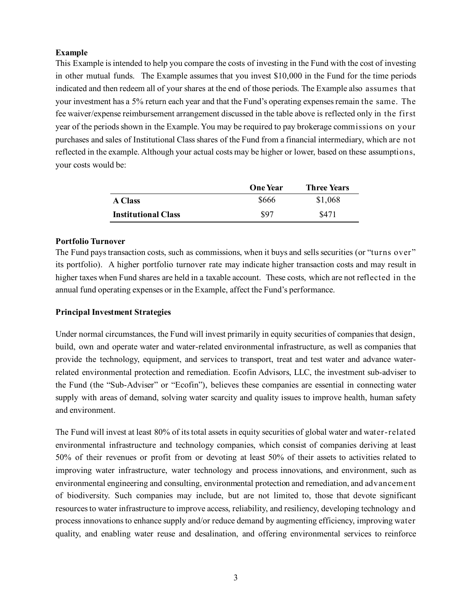## **Example**

This Example is intended to help you compare the costs of investing in the Fund with the cost of investing in other mutual funds. The Example assumes that you invest \$10,000 in the Fund for the time periods indicated and then redeem all of your shares at the end of those periods. The Example also assumes that your investment has a 5% return each year and that the Fund's operating expenses remain the same. The fee waiver/expense reimbursement arrangement discussed in the table above is reflected only in the first year of the periods shown in the Example. You may be required to pay brokerage commissions on your purchases and sales of Institutional Class shares of the Fund from a financial intermediary, which are not reflected in the example. Although your actual costs may be higher or lower, based on these assumptions, your costs would be:

|                            | <b>One Year</b> | <b>Three Years</b> |
|----------------------------|-----------------|--------------------|
| <b>A</b> Class             | \$666           | \$1,068            |
| <b>Institutional Class</b> | \$97            | \$471              |

## **Portfolio Turnover**

The Fund pays transaction costs, such as commissions, when it buys and sells securities (or "turns over" its portfolio). A higher portfolio turnover rate may indicate higher transaction costs and may result in higher taxes when Fund shares are held in a taxable account. These costs, which are not reflected in the annual fund operating expenses or in the Example, affect the Fund's performance.

# **Principal Investment Strategies**

Under normal circumstances, the Fund will invest primarily in equity securities of companies that design, build, own and operate water and water-related environmental infrastructure, as well as companies that provide the technology, equipment, and services to transport, treat and test water and advance waterrelated environmental protection and remediation. Ecofin Advisors, LLC, the investment sub-adviser to the Fund (the "Sub-Adviser" or "Ecofin"), believes these companies are essential in connecting water supply with areas of demand, solving water scarcity and quality issues to improve health, human safety and environment.

The Fund will invest at least 80% of its total assets in equity securities of global water and water-related environmental infrastructure and technology companies, which consist of companies deriving at least 50% of their revenues or profit from or devoting at least 50% of their assets to activities related to improving water infrastructure, water technology and process innovations, and environment, such as environmental engineering and consulting, environmental protection and remediation, and advancement of biodiversity. Such companies may include, but are not limited to, those that devote significant resources to water infrastructure to improve access, reliability, and resiliency, developing technology and process innovations to enhance supply and/or reduce demand by augmenting efficiency, improving water quality, and enabling water reuse and desalination, and offering environmental services to reinforce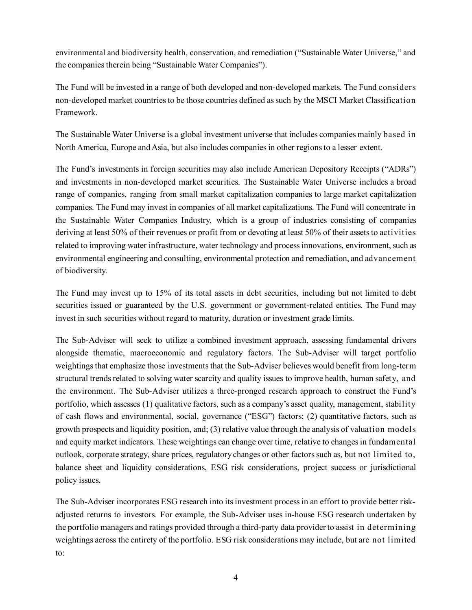environmental and biodiversity health, conservation, and remediation ("Sustainable Water Universe," and the companies therein being "Sustainable Water Companies").

The Fund will be invested in a range of both developed and non-developed markets. The Fund considers non-developed market countries to be those countries defined as such by the MSCI Market Classification Framework.

The Sustainable Water Universe is a global investment universe that includes companies mainly based in North America, Europe and Asia, but also includes companies in other regions to a lesser extent.

The Fund's investments in foreign securities may also include American Depository Receipts ("ADRs") and investments in non-developed market securities. The Sustainable Water Universe includes a broad range of companies, ranging from small market capitalization companies to large market capitalization companies. The Fund may invest in companies of all market capitalizations. The Fund will concentrate in the Sustainable Water Companies Industry, which is a group of industries consisting of companies deriving at least 50% of their revenues or profit from or devoting at least 50% of their assets to activities related to improving water infrastructure, water technology and process innovations, environment, such as environmental engineering and consulting, environmental protection and remediation, and advancement of biodiversity.

The Fund may invest up to 15% of its total assets in debt securities, including but not limited to debt securities issued or guaranteed by the U.S. government or government-related entities. The Fund may invest in such securities without regard to maturity, duration or investment grade limits.

The Sub-Adviser will seek to utilize a combined investment approach, assessing fundamental drivers alongside thematic, macroeconomic and regulatory factors. The Sub-Adviser will target portfolio weightings that emphasize those investments that the Sub-Adviser believes would benefit from long-term structural trends related to solving water scarcity and quality issues to improve health, human safety, and the environment. The Sub-Adviser utilizes a three-pronged research approach to construct the Fund's portfolio, which assesses (1) qualitative factors, such as a company's asset quality, management, stability of cash flows and environmental, social, governance ("ESG") factors; (2) quantitative factors, such as growth prospects and liquidity position, and; (3) relative value through the analysis of valuation models and equity market indicators. These weightings can change over time, relative to changes in fundamental outlook, corporate strategy, share prices, regulatory changes or other factors such as, but not limited to, balance sheet and liquidity considerations, ESG risk considerations, project success or jurisdictional policy issues.

The Sub-Adviser incorporates ESG research into its investment process in an effort to provide better riskadjusted returns to investors. For example, the Sub-Adviser uses in-house ESG research undertaken by the portfolio managers and ratings provided through a third-party data provider to assist in determining weightings across the entirety of the portfolio. ESG risk considerations may include, but are not limited to: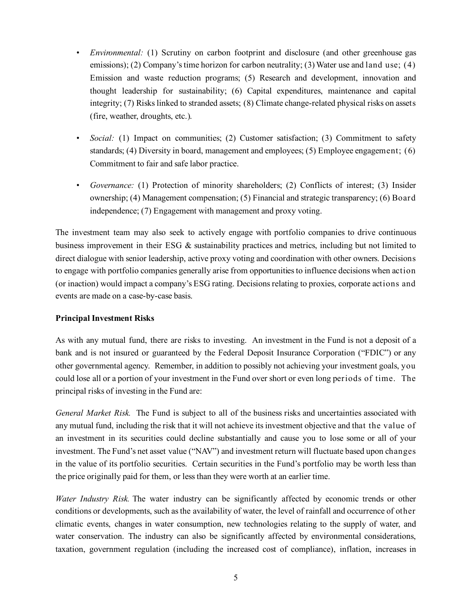- *Environmental:* (1) Scrutiny on carbon footprint and disclosure (and other greenhouse gas emissions); (2) Company's time horizon for carbon neutrality; (3) Water use and land use; (4) Emission and waste reduction programs; (5) Research and development, innovation and thought leadership for sustainability; (6) Capital expenditures, maintenance and capital integrity; (7) Risks linked to stranded assets; (8) Climate change-related physical risks on assets (fire, weather, droughts, etc.).
- *Social:* (1) Impact on communities; (2) Customer satisfaction; (3) Commitment to safety standards; (4) Diversity in board, management and employees; (5) Employee engagement; (6) Commitment to fair and safe labor practice.
- *Governance:* (1) Protection of minority shareholders; (2) Conflicts of interest; (3) Insider ownership; (4) Management compensation; (5) Financial and strategic transparency; (6) Board independence; (7) Engagement with management and proxy voting.

The investment team may also seek to actively engage with portfolio companies to drive continuous business improvement in their ESG & sustainability practices and metrics, including but not limited to direct dialogue with senior leadership, active proxy voting and coordination with other owners. Decisions to engage with portfolio companies generally arise from opportunities to influence decisions when action (or inaction) would impact a company's ESG rating. Decisions relating to proxies, corporate actions and events are made on a case-by-case basis.

## **Principal Investment Risks**

As with any mutual fund, there are risks to investing. An investment in the Fund is not a deposit of a bank and is not insured or guaranteed by the Federal Deposit Insurance Corporation ("FDIC") or any other governmental agency. Remember, in addition to possibly not achieving your investment goals, you could lose all or a portion of your investment in the Fund over short or even long periods of time. The principal risks of investing in the Fund are:

*General Market Risk.* The Fund is subject to all of the business risks and uncertainties associated with any mutual fund, including the risk that it will not achieve its investment objective and that the value of an investment in its securities could decline substantially and cause you to lose some or all of your investment. The Fund's net asset value ("NAV") and investment return will fluctuate based upon changes in the value of its portfolio securities. Certain securities in the Fund's portfolio may be worth less than the price originally paid for them, or less than they were worth at an earlier time.

*Water Industry Risk.* The water industry can be significantly affected by economic trends or other conditions or developments, such as the availability of water, the level of rainfall and occurrence of other climatic events, changes in water consumption, new technologies relating to the supply of water, and water conservation. The industry can also be significantly affected by environmental considerations, taxation, government regulation (including the increased cost of compliance), inflation, increases in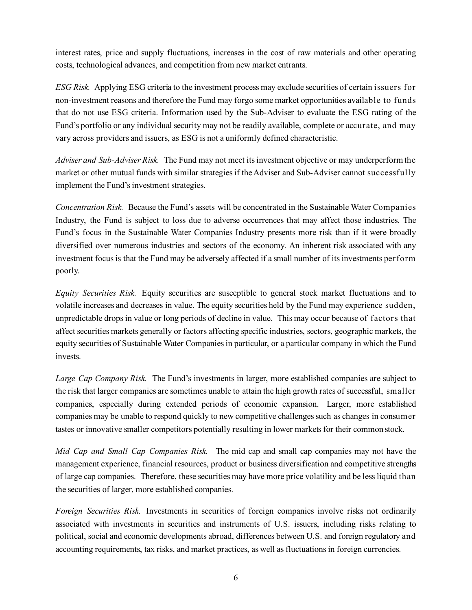interest rates, price and supply fluctuations, increases in the cost of raw materials and other operating costs, technological advances, and competition from new market entrants.

*ESG Risk.* Applying ESG criteria to the investment process may exclude securities of certain issuers for non-investment reasons and therefore the Fund may forgo some market opportunities available to funds that do not use ESG criteria. Information used by the Sub-Adviser to evaluate the ESG rating of the Fund's portfolio or any individual security may not be readily available, complete or accurate, and may vary across providers and issuers, as ESG is not a uniformly defined characteristic.

*Adviser and Sub-Adviser Risk.* The Fund may not meet its investment objective or may underperform the market or other mutual funds with similar strategies if the Adviser and Sub-Adviser cannot successfully implement the Fund's investment strategies.

*Concentration Risk.* Because the Fund's assets will be concentrated in the Sustainable Water Companies Industry, the Fund is subject to loss due to adverse occurrences that may affect those industries. The Fund's focus in the Sustainable Water Companies Industry presents more risk than if it were broadly diversified over numerous industries and sectors of the economy. An inherent risk associated with any investment focus is that the Fund may be adversely affected if a small number of its investments perform poorly.

*Equity Securities Risk.* Equity securities are susceptible to general stock market fluctuations and to volatile increases and decreases in value. The equity securities held by the Fund may experience sudden, unpredictable drops in value or long periods of decline in value. This may occur because of factors that affect securities markets generally or factors affecting specific industries, sectors, geographic markets, the equity securities of Sustainable Water Companies in particular, or a particular company in which the Fund invests.

*Large Cap Company Risk.* The Fund's investments in larger, more established companies are subject to the risk that larger companies are sometimes unable to attain the high growth rates of successful, smaller companies, especially during extended periods of economic expansion. Larger, more established companies may be unable to respond quickly to new competitive challenges such as changes in consumer tastes or innovative smaller competitors potentially resulting in lower markets for their common stock.

*Mid Cap and Small Cap Companies Risk.* The mid cap and small cap companies may not have the management experience, financial resources, product or business diversification and competitive strengths of large cap companies. Therefore, these securities may have more price volatility and be less liquid than the securities of larger, more established companies.

*Foreign Securities Risk.* Investments in securities of foreign companies involve risks not ordinarily associated with investments in securities and instruments of U.S. issuers, including risks relating to political, social and economic developments abroad, differences between U.S. and foreign regulatory and accounting requirements, tax risks, and market practices, as well as fluctuations in foreign currencies.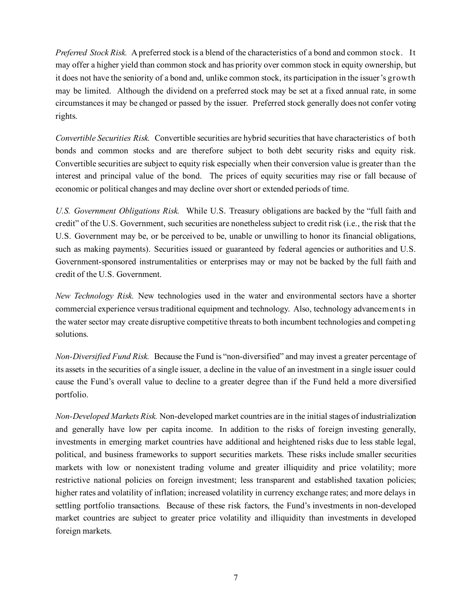*Preferred Stock Risk.* A preferred stock is a blend of the characteristics of a bond and common stock. It may offer a higher yield than common stock and has priority over common stock in equity ownership, but it does not have the seniority of a bond and, unlike common stock, its participation in the issuer's growth may be limited. Although the dividend on a preferred stock may be set at a fixed annual rate, in some circumstances it may be changed or passed by the issuer. Preferred stock generally does not confer voting rights.

*Convertible Securities Risk.* Convertible securities are hybrid securities that have characteristics of both bonds and common stocks and are therefore subject to both debt security risks and equity risk. Convertible securities are subject to equity risk especially when their conversion value is greater than the interest and principal value of the bond. The prices of equity securities may rise or fall because of economic or political changes and may decline over short or extended periods of time.

*U.S. Government Obligations Risk.* While U.S. Treasury obligations are backed by the "full faith and credit" of the U.S. Government, such securities are nonetheless subject to credit risk (i.e., the risk that the U.S. Government may be, or be perceived to be, unable or unwilling to honor its financial obligations, such as making payments). Securities issued or guaranteed by federal agencies or authorities and U.S. Government-sponsored instrumentalities or enterprises may or may not be backed by the full faith and credit of the U.S. Government.

*New Technology Risk.* New technologies used in the water and environmental sectors have a shorter commercial experience versus traditional equipment and technology. Also, technology advancements in the water sector may create disruptive competitive threats to both incumbent technologies and competing solutions.

*Non-Diversified Fund Risk.* Because the Fund is "non-diversified" and may invest a greater percentage of its assets in the securities of a single issuer, a decline in the value of an investment in a single issuer could cause the Fund's overall value to decline to a greater degree than if the Fund held a more diversified portfolio.

*Non-Developed Markets Risk.* Non-developed market countries are in the initial stages of industrialization and generally have low per capita income. In addition to the risks of foreign investing generally, investments in emerging market countries have additional and heightened risks due to less stable legal, political, and business frameworks to support securities markets. These risks include smaller securities markets with low or nonexistent trading volume and greater illiquidity and price volatility; more restrictive national policies on foreign investment; less transparent and established taxation policies; higher rates and volatility of inflation; increased volatility in currency exchange rates; and more delays in settling portfolio transactions. Because of these risk factors, the Fund's investments in non-developed market countries are subject to greater price volatility and illiquidity than investments in developed foreign markets.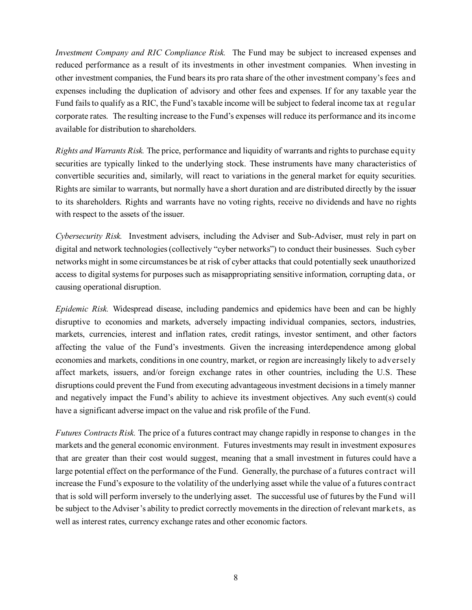*Investment Company and RIC Compliance Risk.* The Fund may be subject to increased expenses and reduced performance as a result of its investments in other investment companies. When investing in other investment companies, the Fund bears its pro rata share of the other investment company's fees and expenses including the duplication of advisory and other fees and expenses. If for any taxable year the Fund fails to qualify as a RIC, the Fund's taxable income will be subject to federal income tax at regular corporate rates. The resulting increase to the Fund's expenses will reduce its performance and its income available for distribution to shareholders.

*Rights and Warrants Risk.* The price, performance and liquidity of warrants and rights to purchase equity securities are typically linked to the underlying stock. These instruments have many characteristics of convertible securities and, similarly, will react to variations in the general market for equity securities. Rights are similar to warrants, but normally have a short duration and are distributed directly by the issuer to its shareholders. Rights and warrants have no voting rights, receive no dividends and have no rights with respect to the assets of the issuer.

*Cybersecurity Risk.* Investment advisers, including the Adviser and Sub-Adviser, must rely in part on digital and network technologies (collectively "cyber networks") to conduct their businesses. Such cyber networks might in some circumstances be at risk of cyber attacks that could potentially seek unauthorized access to digital systems for purposes such as misappropriating sensitive information, corrupting data, or causing operational disruption.

*Epidemic Risk.* Widespread disease, including pandemics and epidemics have been and can be highly disruptive to economies and markets, adversely impacting individual companies, sectors, industries, markets, currencies, interest and inflation rates, credit ratings, investor sentiment, and other factors affecting the value of the Fund's investments. Given the increasing interdependence among global economies and markets, conditions in one country, market, or region are increasingly likely to adversely affect markets, issuers, and/or foreign exchange rates in other countries, including the U.S. These disruptions could prevent the Fund from executing advantageous investment decisions in a timely manner and negatively impact the Fund's ability to achieve its investment objectives. Any such event(s) could have a significant adverse impact on the value and risk profile of the Fund.

*Futures Contracts Risk.* The price of a futures contract may change rapidly in response to changes in the markets and the general economic environment. Futures investments may result in investment exposures that are greater than their cost would suggest, meaning that a small investment in futures could have a large potential effect on the performance of the Fund. Generally, the purchase of a futures contract will increase the Fund's exposure to the volatility of the underlying asset while the value of a futures contract that is sold will perform inversely to the underlying asset. The successful use of futures by the Fund will be subject to the Adviser's ability to predict correctly movements in the direction of relevant markets, as well as interest rates, currency exchange rates and other economic factors.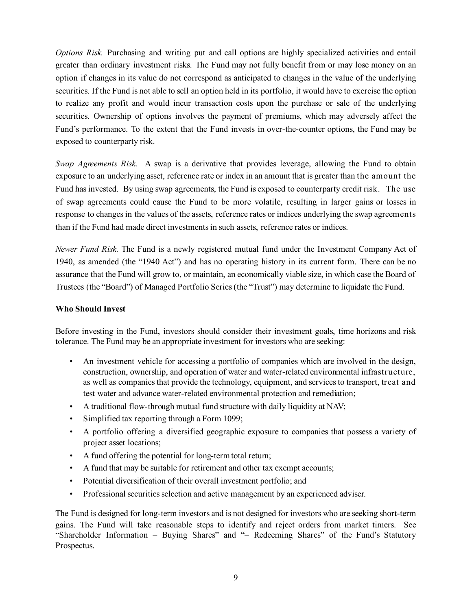*Options Risk.* Purchasing and writing put and call options are highly specialized activities and entail greater than ordinary investment risks. The Fund may not fully benefit from or may lose money on an option if changes in its value do not correspond as anticipated to changes in the value of the underlying securities. If the Fund is not able to sell an option held in its portfolio, it would have to exercise the option to realize any profit and would incur transaction costs upon the purchase or sale of the underlying securities. Ownership of options involves the payment of premiums, which may adversely affect the Fund's performance. To the extent that the Fund invests in over-the-counter options, the Fund may be exposed to counterparty risk.

*Swap Agreements Risk.* A swap is a derivative that provides leverage, allowing the Fund to obtain exposure to an underlying asset, reference rate or index in an amount that is greater than the amount the Fund has invested. By using swap agreements, the Fund is exposed to counterparty credit risk. The use of swap agreements could cause the Fund to be more volatile, resulting in larger gains or losses in response to changes in the values of the assets, reference rates or indices underlying the swap agreements than if the Fund had made direct investments in such assets, reference rates or indices.

*Newer Fund Risk.* The Fund is a newly registered mutual fund under the Investment Company Act of 1940, as amended (the "1940 Act") and has no operating history in its current form. There can be no assurance that the Fund will grow to, or maintain, an economically viable size, in which case the Board of Trustees (the "Board") of Managed Portfolio Series (the "Trust") may determine to liquidate the Fund.

# **Who Should Invest**

Before investing in the Fund, investors should consider their investment goals, time horizons and risk tolerance. The Fund may be an appropriate investment for investors who are seeking:

- An investment vehicle for accessing a portfolio of companies which are involved in the design, construction, ownership, and operation of water and water-related environmental infrastructure, as well as companies that provide the technology, equipment, and services to transport, treat and test water and advance water-related environmental protection and remediation;
- A traditional flow-through mutual fund structure with daily liquidity at NAV;
- Simplified tax reporting through a Form 1099;
- A portfolio offering a diversified geographic exposure to companies that possess a variety of project asset locations;
- A fund offering the potential for long-term total return;
- A fund that may be suitable for retirement and other tax exempt accounts;
- Potential diversification of their overall investment portfolio; and
- Professional securities selection and active management by an experienced adviser.

The Fund is designed for long-term investors and is not designed for investors who are seeking short-term gains. The Fund will take reasonable steps to identify and reject orders from market timers. See "Shareholder Information – Buying Shares" and "– Redeeming Shares" of the Fund's Statutory Prospectus.